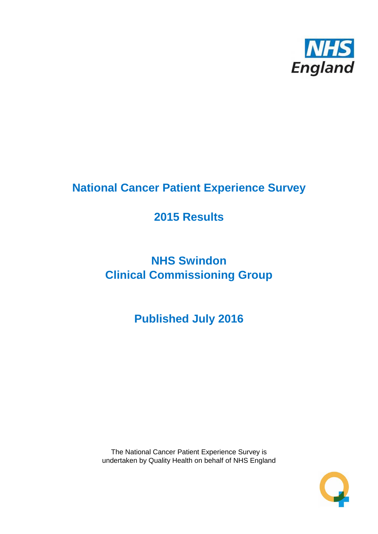

# **National Cancer Patient Experience Survey**

# **2015 Results**

# **NHS Swindon Clinical Commissioning Group**

**Published July 2016**

The National Cancer Patient Experience Survey is undertaken by Quality Health on behalf of NHS England

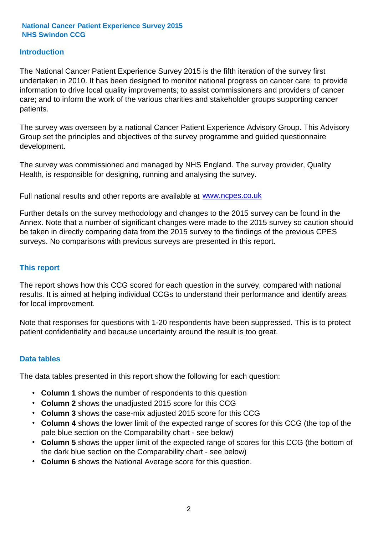### **Introduction**

The National Cancer Patient Experience Survey 2015 is the fifth iteration of the survey first undertaken in 2010. It has been designed to monitor national progress on cancer care; to provide information to drive local quality improvements; to assist commissioners and providers of cancer care; and to inform the work of the various charities and stakeholder groups supporting cancer patients.

The survey was overseen by a national Cancer Patient Experience Advisory Group. This Advisory Group set the principles and objectives of the survey programme and guided questionnaire development.

The survey was commissioned and managed by NHS England. The survey provider, Quality Health, is responsible for designing, running and analysing the survey.

Full national results and other reports are available at www.ncpes.co.uk

Further details on the survey methodology and changes to the 2015 survey can be found in the Annex. Note that a number of significant changes were made to the 2015 survey so caution should be taken in directly comparing data from the 2015 survey to the findings of the previous CPES surveys. No comparisons with previous surveys are presented in this report.

#### **This report**

The report shows how this CCG scored for each question in the survey, compared with national results. It is aimed at helping individual CCGs to understand their performance and identify areas for local improvement.

Note that responses for questions with 1-20 respondents have been suppressed. This is to protect patient confidentiality and because uncertainty around the result is too great.

#### **Data tables**

The data tables presented in this report show the following for each question:

- **Column 1** shows the number of respondents to this question
- **Column 2** shows the unadjusted 2015 score for this CCG
- **Column 3** shows the case-mix adjusted 2015 score for this CCG
- **Column 4** shows the lower limit of the expected range of scores for this CCG (the top of the pale blue section on the Comparability chart - see below)
- **Column 5** shows the upper limit of the expected range of scores for this CCG (the bottom of the dark blue section on the Comparability chart - see below)
- **Column 6** shows the National Average score for this question.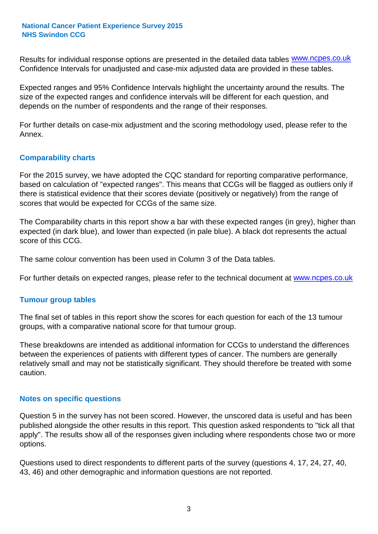Results for individual response options are presented in the detailed data tables **WWW.ncpes.co.uk** Confidence Intervals for unadjusted and case-mix adjusted data are provided in these tables.

Expected ranges and 95% Confidence Intervals highlight the uncertainty around the results. The size of the expected ranges and confidence intervals will be different for each question, and depends on the number of respondents and the range of their responses.

For further details on case-mix adjustment and the scoring methodology used, please refer to the Annex.

### **Comparability charts**

For the 2015 survey, we have adopted the CQC standard for reporting comparative performance, based on calculation of "expected ranges". This means that CCGs will be flagged as outliers only if there is statistical evidence that their scores deviate (positively or negatively) from the range of scores that would be expected for CCGs of the same size.

The Comparability charts in this report show a bar with these expected ranges (in grey), higher than expected (in dark blue), and lower than expected (in pale blue). A black dot represents the actual score of this CCG.

The same colour convention has been used in Column 3 of the Data tables.

For further details on expected ranges, please refer to the technical document at **www.ncpes.co.uk** 

#### **Tumour group tables**

The final set of tables in this report show the scores for each question for each of the 13 tumour groups, with a comparative national score for that tumour group.

These breakdowns are intended as additional information for CCGs to understand the differences between the experiences of patients with different types of cancer. The numbers are generally relatively small and may not be statistically significant. They should therefore be treated with some caution.

#### **Notes on specific questions**

Question 5 in the survey has not been scored. However, the unscored data is useful and has been published alongside the other results in this report. This question asked respondents to "tick all that apply". The results show all of the responses given including where respondents chose two or more options.

Questions used to direct respondents to different parts of the survey (questions 4, 17, 24, 27, 40, 43, 46) and other demographic and information questions are not reported.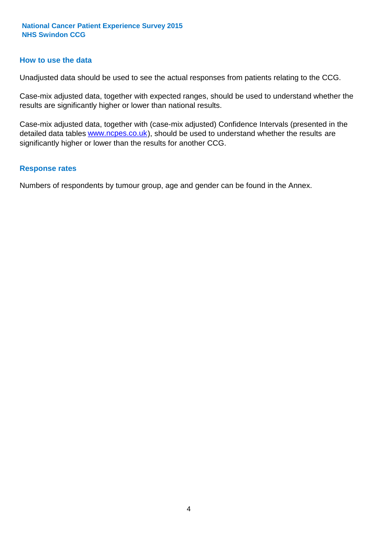#### **How to use the data**

Unadjusted data should be used to see the actual responses from patients relating to the CCG.

Case-mix adjusted data, together with expected ranges, should be used to understand whether the results are significantly higher or lower than national results.

Case-mix adjusted data, together with (case-mix adjusted) Confidence Intervals (presented in the detailed data tables **www.ncpes.co.uk**), should be used to understand whether the results are significantly higher or lower than the results for another CCG.

#### **Response rates**

Numbers of respondents by tumour group, age and gender can be found in the Annex.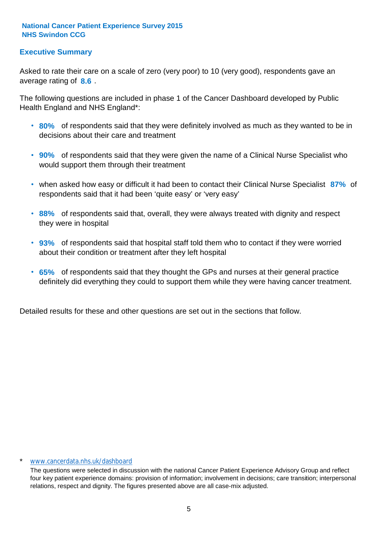### **Executive Summary**

average rating of 8.6. Asked to rate their care on a scale of zero (very poor) to 10 (very good), respondents gave an

The following questions are included in phase 1 of the Cancer Dashboard developed by Public Health England and NHS England\*:

- **80%** of respondents said that they were definitely involved as much as they wanted to be in decisions about their care and treatment
- **90%** of respondents said that they were given the name of a Clinical Nurse Specialist who would support them through their treatment
- when asked how easy or difficult it had been to contact their Clinical Nurse Specialist 87% of respondents said that it had been 'quite easy' or 'very easy'
- **88%** of respondents said that, overall, they were always treated with dignity and respect they were in hospital
- **93%** of respondents said that hospital staff told them who to contact if they were worried about their condition or treatment after they left hospital
- **65%** of respondents said that they thought the GPs and nurses at their general practice definitely did everything they could to support them while they were having cancer treatment.

Detailed results for these and other questions are set out in the sections that follow.

#### \* www.cancerdata.nhs.uk/dashboard

The questions were selected in discussion with the national Cancer Patient Experience Advisory Group and reflect four key patient experience domains: provision of information; involvement in decisions; care transition; interpersonal relations, respect and dignity. The figures presented above are all case-mix adjusted.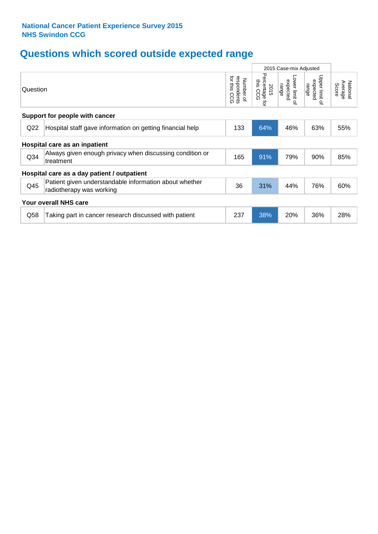# **Questions which scored outside expected range**

|                 |                                                                                    |                                             |                                            | 2015 Case-mix Adjusted              |                                                    |                              |
|-----------------|------------------------------------------------------------------------------------|---------------------------------------------|--------------------------------------------|-------------------------------------|----------------------------------------------------|------------------------------|
| Question        |                                                                                    | for this<br>respondents<br>Number of<br>coo | Percentage<br>this CCG<br>2015<br><b>i</b> | Lower limit of<br>expected<br>range | Upper limit<br>expected<br>range<br>$\overline{a}$ | Average<br>National<br>Score |
|                 | Support for people with cancer                                                     |                                             |                                            |                                     |                                                    |                              |
| Q22             | Hospital staff gave information on getting financial help                          | 133                                         | 64%                                        | 46%                                 | 63%                                                | 55%                          |
|                 | Hospital care as an inpatient                                                      |                                             |                                            |                                     |                                                    |                              |
| Q <sub>34</sub> | Always given enough privacy when discussing condition or<br>treatment              | 165                                         | 91%                                        | 79%                                 | 90%                                                | 85%                          |
|                 | Hospital care as a day patient / outpatient                                        |                                             |                                            |                                     |                                                    |                              |
| Q45             | Patient given understandable information about whether<br>radiotherapy was working | 36                                          | 31%                                        | 44%                                 | 76%                                                | 60%                          |
|                 | <b>Your overall NHS care</b>                                                       |                                             |                                            |                                     |                                                    |                              |
| Q58             | Taking part in cancer research discussed with patient                              | 237                                         | 38%                                        | 20%                                 | 36%                                                | 28%                          |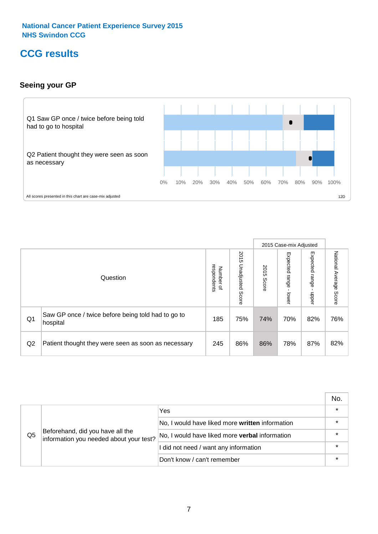# **CCG results**

### **Seeing your GP**



|    |                                                                |                                         |                             |               | 2015 Case-mix Adjusted     |                            |                           |
|----|----------------------------------------------------------------|-----------------------------------------|-----------------------------|---------------|----------------------------|----------------------------|---------------------------|
|    | Question                                                       | respondents<br>Number<br>$\overline{a}$ | 2015<br>Unadjusted<br>Score | 2015<br>Score | Expected<br>range<br>lower | Expected<br>range<br>nbber | National Average<br>Score |
| Q1 | Saw GP once / twice before being told had to go to<br>hospital | 185                                     | 75%                         | 74%           | 70%                        | 82%                        | 76%                       |
| Q2 | Patient thought they were seen as soon as necessary            | 245                                     | 86%                         | 86%           | 78%                        | 87%                        | 82%                       |

|    |                                                                             |                                                 | No. |
|----|-----------------------------------------------------------------------------|-------------------------------------------------|-----|
|    |                                                                             | Yes                                             |     |
|    | Beforehand, did you have all the<br>information you needed about your test? | No, I would have liked more written information |     |
| Q5 |                                                                             | No, I would have liked more verbal information  |     |
|    |                                                                             | I did not need / want any information           |     |
|    |                                                                             | Don't know / can't remember                     |     |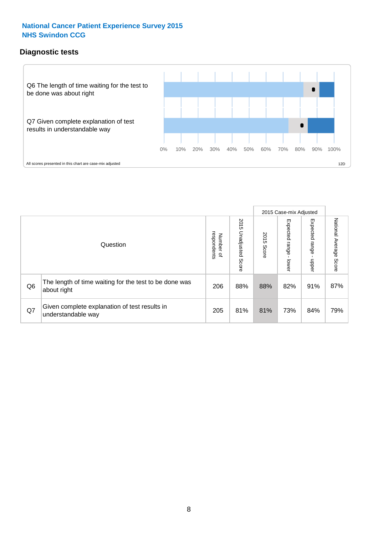# **Diagnostic tests**



|                |                                                                       |                                   |                             |               | 2015 Case-mix Adjusted  |                         |                           |
|----------------|-----------------------------------------------------------------------|-----------------------------------|-----------------------------|---------------|-------------------------|-------------------------|---------------------------|
|                | Question                                                              | respondents<br>Number<br>$\Omega$ | 2015<br>Unadjusted<br>Score | 2015<br>Score | Expected range<br>lower | Expected range<br>nbber | National Average<br>Score |
| Q <sub>6</sub> | The length of time waiting for the test to be done was<br>about right | 206                               | 88%                         | 88%           | 82%                     | 91%                     | 87%                       |
| Q7             | Given complete explanation of test results in<br>understandable way   | 205                               | 81%                         | 81%           | 73%                     | 84%                     | 79%                       |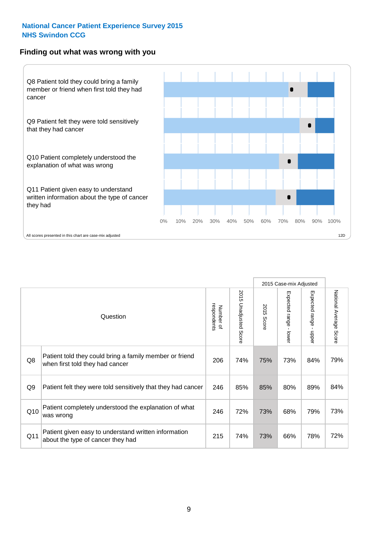#### **Finding out what was wrong with you**



| Question                                                                                   | respondents<br>Number of | 2015 Unadjusted Score | 2015 Score | Expected range - lower | Expected range<br>nbber | National Average<br>Score |
|--------------------------------------------------------------------------------------------|--------------------------|-----------------------|------------|------------------------|-------------------------|---------------------------|
| Patient told they could bring a family member or friend<br>when first told they had cancer | 206                      | 74%                   | 75%        | 73%                    | 84%                     | 79%                       |
| Patient felt they were told sensitively that they had cancer                               | 246                      | 85%                   | 85%        | 80%                    | 89%                     | 84%                       |
| Patient completely understood the explanation of what<br>was wrong                         | 246                      | 72%                   | 73%        | 68%                    | 79%                     | 73%                       |
| Patient given easy to understand written information<br>about the type of cancer they had  | 215                      | 74%                   | 73%        | 66%                    | 78%                     | 72%                       |
|                                                                                            |                          |                       |            |                        |                         | 2015 Case-mix Adjusted    |

73%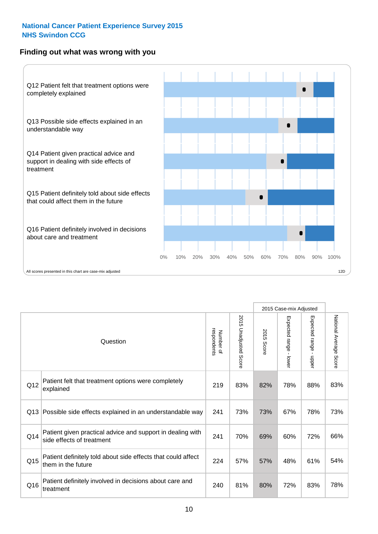### **Finding out what was wrong with you**



|                 |                                                                                         |                          |                       |               | 2015 Case-mix Adjusted                  |                           |                        |
|-----------------|-----------------------------------------------------------------------------------------|--------------------------|-----------------------|---------------|-----------------------------------------|---------------------------|------------------------|
|                 | Question                                                                                | respondents<br>Number of | 2015 Unadjusted Score | 2015<br>Score | Expected range<br>$\mathbf{r}$<br>lower | Expected range -<br>nbber | National Average Score |
| Q12             | Patient felt that treatment options were completely<br>explained                        | 219                      | 83%                   | 82%           | 78%                                     | 88%                       | 83%                    |
| Q13             | Possible side effects explained in an understandable way                                | 241                      | 73%                   | 73%           | 67%                                     | 78%                       | 73%                    |
| Q14             | Patient given practical advice and support in dealing with<br>side effects of treatment | 241                      | 70%                   | 69%           | 60%                                     | 72%                       | 66%                    |
| Q <sub>15</sub> | Patient definitely told about side effects that could affect<br>them in the future      | 224                      | 57%                   | 57%           | 48%                                     | 61%                       | 54%                    |
| Q16             | Patient definitely involved in decisions about care and<br>treatment                    | 240                      | 81%                   | 80%           | 72%                                     | 83%                       | 78%                    |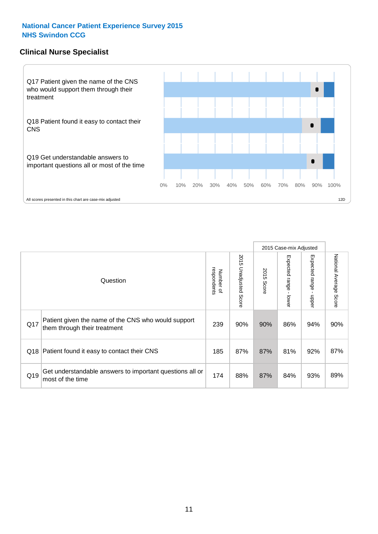### **Clinical Nurse Specialist**



|     |                                                                                     |                          |                       |               | 2015 Case-mix Adjusted  |                         |                        |
|-----|-------------------------------------------------------------------------------------|--------------------------|-----------------------|---------------|-------------------------|-------------------------|------------------------|
|     | Question                                                                            | respondents<br>Number of | 2015 Unadjusted Score | 2015<br>Score | Expected range<br>lower | Expected range<br>nbber | National Average Score |
| Q17 | Patient given the name of the CNS who would support<br>them through their treatment | 239                      | 90%                   | 90%           | 86%                     | 94%                     | 90%                    |
| Q18 | Patient found it easy to contact their CNS                                          | 185                      | 87%                   | 87%           | 81%                     | 92%                     | 87%                    |
| Q19 | Get understandable answers to important questions all or<br>most of the time        | 174                      | 88%                   | 87%           | 84%                     | 93%                     | 89%                    |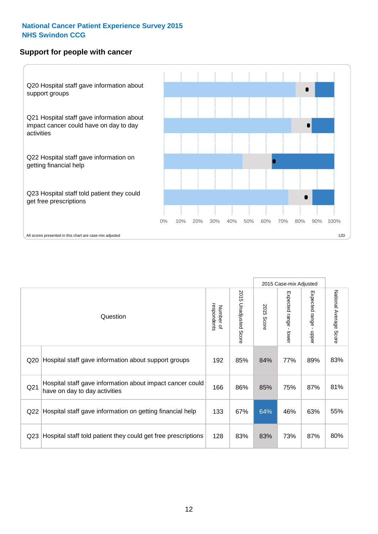### **Support for people with cancer**



|                 |                                                                                            |                          |                                 |               | 2015 Case-mix Adjusted  |                                         |                        |
|-----------------|--------------------------------------------------------------------------------------------|--------------------------|---------------------------------|---------------|-------------------------|-----------------------------------------|------------------------|
|                 | Question                                                                                   | respondents<br>Number of | 2015<br><b>Unadjusted Score</b> | 2015<br>Score | Expected range<br>lower | Expected range<br>$\mathbf{I}$<br>nbber | National Average Score |
| Q <sub>20</sub> | Hospital staff gave information about support groups                                       | 192                      | 85%                             | 84%           | 77%                     | 89%                                     | 83%                    |
| Q <sub>21</sub> | Hospital staff gave information about impact cancer could<br>have on day to day activities | 166                      | 86%                             | 85%           | 75%                     | 87%                                     | 81%                    |
| Q22             | Hospital staff gave information on getting financial help                                  | 133                      | 67%                             | 64%           | 46%                     | 63%                                     | 55%                    |
| Q <sub>23</sub> | Hospital staff told patient they could get free prescriptions                              | 128                      | 83%                             | 83%           | 73%                     | 87%                                     | 80%                    |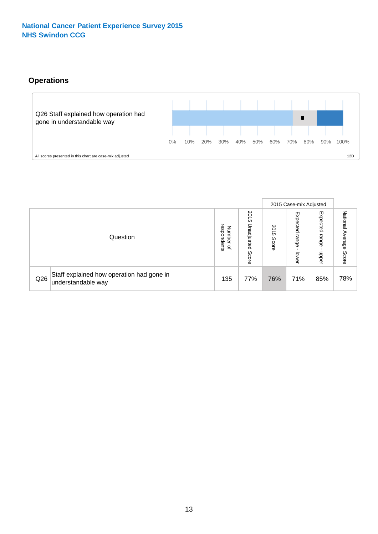# **Operations**



|     |                                                                 |                                         |                             |               | 2015 Case-mix Adjusted     |                           |                           |
|-----|-----------------------------------------------------------------|-----------------------------------------|-----------------------------|---------------|----------------------------|---------------------------|---------------------------|
|     | Question                                                        | respondents<br>Number<br>$\overline{a}$ | 2015<br>Unadjusted<br>Score | 2015<br>Score | Expected<br>range<br>lower | Expected<br>range<br>ddoe | National Average<br>Score |
| Q26 | Staff explained how operation had gone in<br>understandable way | 135                                     | 77%                         | 76%           | 71%                        | 85%                       | 78%                       |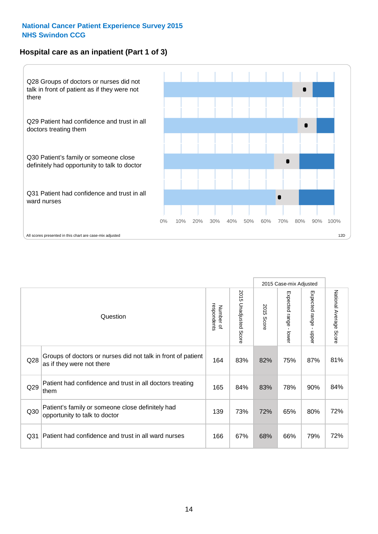# **Hospital care as an inpatient (Part 1 of 3)**



All scores presented in this chart are case-mix adjusted  $12D$ 

|                 |                                                                                           |                          |                       |                      | 2015 Case-mix Adjusted                    |                                           |                        |
|-----------------|-------------------------------------------------------------------------------------------|--------------------------|-----------------------|----------------------|-------------------------------------------|-------------------------------------------|------------------------|
|                 | Question                                                                                  | respondents<br>Number of | 2015 Unadjusted Score | 2015<br><b>Score</b> | Expected range<br>$\blacksquare$<br>lower | Expected range<br>$\blacksquare$<br>nbber | National Average Score |
| Q28             | Groups of doctors or nurses did not talk in front of patient<br>as if they were not there | 164                      | 83%                   | 82%                  | 75%                                       | 87%                                       | 81%                    |
| Q29             | Patient had confidence and trust in all doctors treating<br>them                          | 165                      | 84%                   | 83%                  | 78%                                       | 90%                                       | 84%                    |
| Q30             | Patient's family or someone close definitely had<br>opportunity to talk to doctor         | 139                      | 73%                   | 72%                  | 65%                                       | 80%                                       | 72%                    |
| Q <sub>31</sub> | Patient had confidence and trust in all ward nurses                                       | 166                      | 67%                   | 68%                  | 66%                                       | 79%                                       | 72%                    |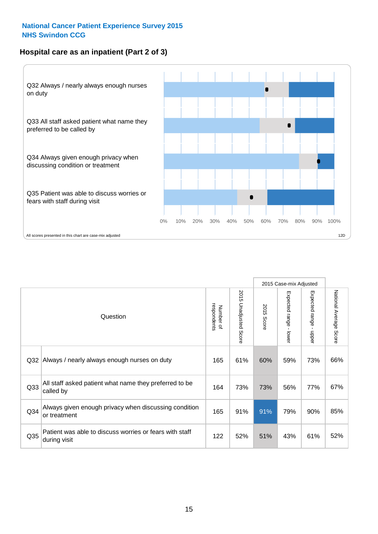# **Hospital care as an inpatient (Part 2 of 3)**



|                 |                                                                         |                          |                          |               | 2015 Case-mix Adjusted                  |                           |                        |
|-----------------|-------------------------------------------------------------------------|--------------------------|--------------------------|---------------|-----------------------------------------|---------------------------|------------------------|
|                 | Question                                                                | respondents<br>Number of | 2015<br>Unadjusted Score | 2015<br>Score | Expected range<br>$\mathbf{r}$<br>lower | Expected range -<br>nbber | National Average Score |
| Q <sub>32</sub> | Always / nearly always enough nurses on duty                            | 165                      | 61%                      | 60%           | 59%                                     | 73%                       | 66%                    |
| Q <sub>33</sub> | All staff asked patient what name they preferred to be<br>called by     | 164                      | 73%                      | 73%           | 56%                                     | 77%                       | 67%                    |
| Q <sub>34</sub> | Always given enough privacy when discussing condition<br>or treatment   | 165                      | 91%                      | 91%           | 79%                                     | 90%                       | 85%                    |
| Q35             | Patient was able to discuss worries or fears with staff<br>during visit | 122                      | 52%                      | 51%           | 43%                                     | 61%                       | 52%                    |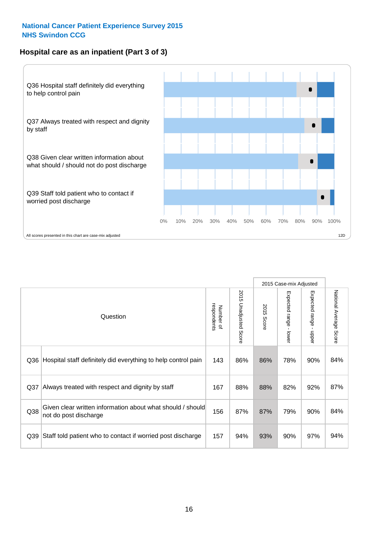## **Hospital care as an inpatient (Part 3 of 3)**



|                 |                                                                                     |                          |                                 |               | 2015 Case-mix Adjusted                  |                           |                        |
|-----------------|-------------------------------------------------------------------------------------|--------------------------|---------------------------------|---------------|-----------------------------------------|---------------------------|------------------------|
|                 | Question                                                                            | respondents<br>Number of | 2015<br><b>Unadjusted Score</b> | 2015<br>Score | Expected range<br>$\mathbf{r}$<br>lower | Expected range -<br>nbber | National Average Score |
| Q36             | Hospital staff definitely did everything to help control pain                       | 143                      | 86%                             | 86%           | 78%                                     | 90%                       | 84%                    |
| Q <sub>37</sub> | Always treated with respect and dignity by staff                                    | 167                      | 88%                             | 88%           | 82%                                     | 92%                       | 87%                    |
| Q38             | Given clear written information about what should / should<br>not do post discharge | 156                      | 87%                             | 87%           | 79%                                     | 90%                       | 84%                    |
| Q39             | Staff told patient who to contact if worried post discharge                         | 157                      | 94%                             | 93%           | 90%                                     | 97%                       | 94%                    |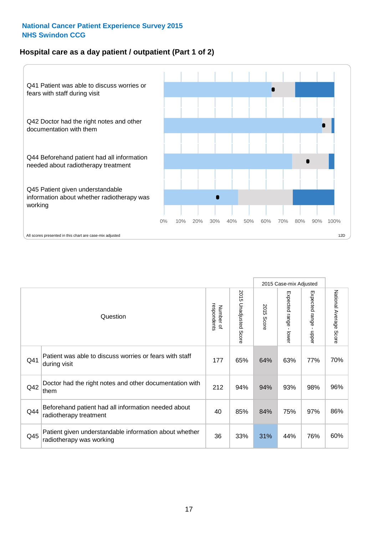### **Hospital care as a day patient / outpatient (Part 1 of 2)**



|     |                                                                                    |                          |                                 |               | 2015 Case-mix Adjusted                  |                           |                        |
|-----|------------------------------------------------------------------------------------|--------------------------|---------------------------------|---------------|-----------------------------------------|---------------------------|------------------------|
|     | Question                                                                           | respondents<br>Number of | 2015<br><b>Unadjusted Score</b> | 2015<br>Score | Expected range<br>$\mathbf{r}$<br>lower | Expected range -<br>nbber | National Average Score |
| Q41 | Patient was able to discuss worries or fears with staff<br>during visit            | 177                      | 65%                             | 64%           | 63%                                     | 77%                       | 70%                    |
| Q42 | Doctor had the right notes and other documentation with<br>them                    | 212                      | 94%                             | 94%           | 93%                                     | 98%                       | 96%                    |
| Q44 | Beforehand patient had all information needed about<br>radiotherapy treatment      | 40                       | 85%                             | 84%           | 75%                                     | 97%                       | 86%                    |
| Q45 | Patient given understandable information about whether<br>radiotherapy was working | 36                       | 33%                             | 31%           | 44%                                     | 76%                       | 60%                    |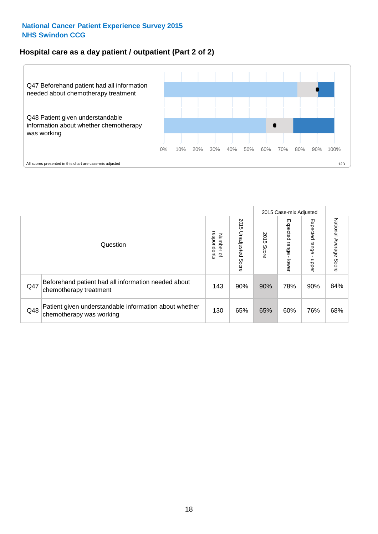### **Hospital care as a day patient / outpatient (Part 2 of 2)**



|     |                                                                                    |                                   |                             |               | 2015 Case-mix Adjusted  |                         |                           |
|-----|------------------------------------------------------------------------------------|-----------------------------------|-----------------------------|---------------|-------------------------|-------------------------|---------------------------|
|     | Question                                                                           | respondents<br>Number<br>$\Omega$ | 2015<br>Unadjusted<br>Score | 2015<br>Score | Expected range<br>lower | Expected range<br>nbber | National Average<br>Score |
| Q47 | Beforehand patient had all information needed about<br>chemotherapy treatment      | 143                               | 90%                         | 90%           | 78%                     | 90%                     | 84%                       |
| Q48 | Patient given understandable information about whether<br>chemotherapy was working | 130                               | 65%                         | 65%           | 60%                     | 76%                     | 68%                       |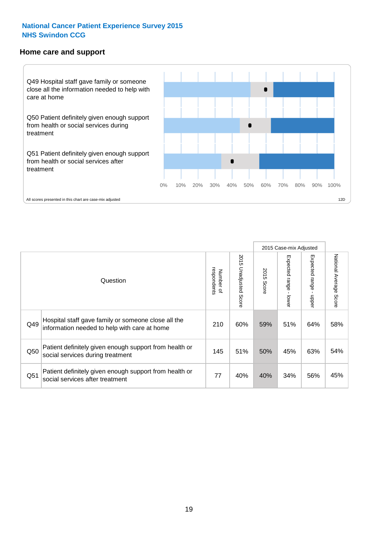#### **Home care and support**



2015 Case-mix Adjusted 2015 Unadjusted Score Expected range - upper National Average Score 2015 Unadjusted Score Expected range - lower National Average Score Expected range - lower Expected range - upper Number of<br>respondents 2015 Score respondents 2015 Score Number of Question Hospital staff gave family or someone close all the  $Q49$  information needed to help with care at home  $Q49$  | 60% | 59% | 51% | 64% | 58% Patient definitely given enough support from health or  $\frac{1}{250}$  social services during treatment  $\frac{1}{45}$   $\frac{145}{51\%}$  50%  $\frac{45\%}{45\%}$  63% 54% Patient definitely given enough support from health or  $\frac{34\%}{30\%}$  social services after treatment  $\frac{34\%}{34\%}$   $\frac{34\%}{56\%}$   $\frac{45\%}{45\%}$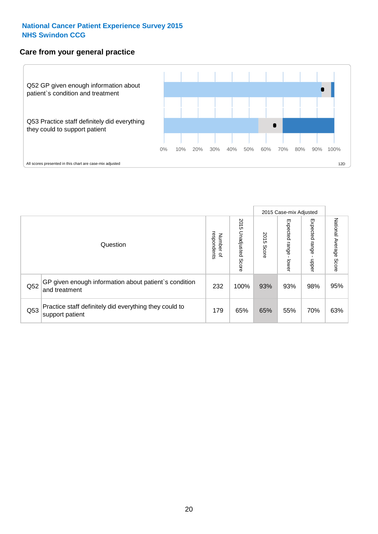### **Care from your general practice**



|     |                                                                           |                                       |                             |               |                              | 2015 Case-mix Adjusted     |                           |
|-----|---------------------------------------------------------------------------|---------------------------------------|-----------------------------|---------------|------------------------------|----------------------------|---------------------------|
|     | Question                                                                  | respondents<br>Number<br>$\mathbf{Q}$ | 2015<br>Unadjusted<br>Score | 2015<br>Score | Expected<br>l range<br>lower | Expected<br>range<br>dpper | National Average<br>Score |
| Q52 | GP given enough information about patient's condition<br>and treatment    | 232                                   | 100%                        | 93%           | 93%                          | 98%                        | 95%                       |
| Q53 | Practice staff definitely did everything they could to<br>support patient | 179                                   | 65%                         | 65%           | 55%                          | 70%                        | 63%                       |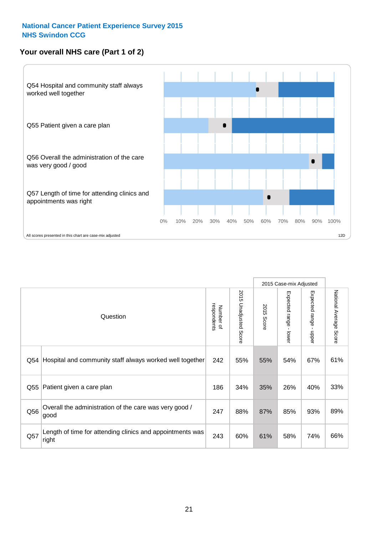# **Your overall NHS care (Part 1 of 2)**



|     |                                                                    |                          |                          |                      | 2015 Case-mix Adjusted                    |                                           |                        |
|-----|--------------------------------------------------------------------|--------------------------|--------------------------|----------------------|-------------------------------------------|-------------------------------------------|------------------------|
|     | Question                                                           | respondents<br>Number of | 2015<br>Unadjusted Score | 2015<br><b>Score</b> | Expected range<br>$\blacksquare$<br>lower | Expected range<br>$\blacksquare$<br>nbber | National Average Score |
| Q54 | Hospital and community staff always worked well together           | 242                      | 55%                      | 55%                  | 54%                                       | 67%                                       | 61%                    |
| Q55 | Patient given a care plan                                          | 186                      | 34%                      | 35%                  | 26%                                       | 40%                                       | 33%                    |
| Q56 | Overall the administration of the care was very good /<br>good     | 247                      | 88%                      | 87%                  | 85%                                       | 93%                                       | 89%                    |
| Q57 | Length of time for attending clinics and appointments was<br>right | 243                      | 60%                      | 61%                  | 58%                                       | 74%                                       | 66%                    |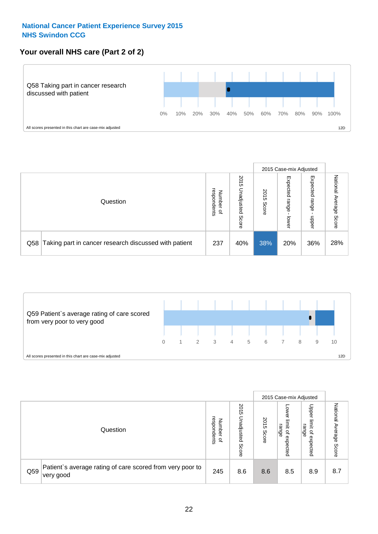## **Your overall NHS care (Part 2 of 2)**



|     |                                                       |                                  | 2015 Case-mix Adjusted      |               |                            |                            |                        |
|-----|-------------------------------------------------------|----------------------------------|-----------------------------|---------------|----------------------------|----------------------------|------------------------|
|     | Question                                              | respondents<br>Numbe<br>$\Omega$ | 2015<br>Unadjusted<br>Score | 2015<br>Score | Expected<br>range<br>lower | Expected<br>range<br>nbber | National Average Score |
| Q58 | Taking part in cancer research discussed with patient | 237                              | 40%                         | 38%           | 20%                        | 36%                        | 28%                    |



|     |                                                                                     |                                   | 2015 Case-mix Adjusted      |               |                                                           |                                                       |                              |
|-----|-------------------------------------------------------------------------------------|-----------------------------------|-----------------------------|---------------|-----------------------------------------------------------|-------------------------------------------------------|------------------------------|
|     | Question                                                                            | respondents<br>Number<br>$\Omega$ | 2015<br>Unadjusted<br>Score | 2015<br>Score | OWer<br>limit<br>range<br>$\overline{\sigma}$<br>expected | Upper<br>limit<br>range<br>$\overline{a}$<br>expected | National<br>Average<br>Score |
| Q59 | Patient's average rating of care scored from very poor to<br><sup>∖</sup> very good | 245                               | 8.6                         | 8.6           | 8.5                                                       | 8.9                                                   | 8.7                          |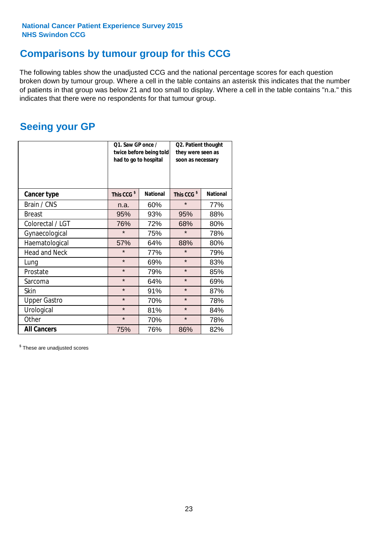# **Comparisons by tumour group for this CCG**

The following tables show the unadjusted CCG and the national percentage scores for each question broken down by tumour group. Where a cell in the table contains an asterisk this indicates that the number of patients in that group was below 21 and too small to display. Where a cell in the table contains "n.a." this indicates that there were no respondents for that tumour group.

# **Seeing your GP**

|                      | Q1. Saw GP once /<br>had to go to hospital | twice before being told | Q2. Patient thought<br>they were seen as<br>soon as necessary |                 |  |
|----------------------|--------------------------------------------|-------------------------|---------------------------------------------------------------|-----------------|--|
| <b>Cancer type</b>   | This CCG <sup>\$</sup>                     | <b>National</b>         | This CCG <sup>\$</sup>                                        | <b>National</b> |  |
| Brain / CNS          | n.a.                                       | 60%                     | $\star$                                                       | 77%             |  |
| <b>Breast</b>        | 95%                                        | 93%                     | 95%                                                           | 88%             |  |
| Colorectal / LGT     | 76%                                        | 72%                     | 68%                                                           | 80%             |  |
| Gynaecological       | $\star$                                    | 75%                     | $\star$                                                       | 78%             |  |
| Haematological       | 57%                                        | 64%                     | 88%                                                           | 80%             |  |
| <b>Head and Neck</b> | $\star$                                    | 77%                     | $\star$                                                       | 79%             |  |
| Lung                 | $\star$                                    | 69%                     | $\star$                                                       | 83%             |  |
| Prostate             | $\star$                                    | 79%                     | $\star$                                                       | 85%             |  |
| Sarcoma              | $\star$                                    | 64%                     | $\star$                                                       | 69%             |  |
| Skin                 | $\star$                                    | 91%                     | $\star$                                                       | 87%             |  |
| <b>Upper Gastro</b>  | $\star$                                    | 70%                     | $\star$                                                       | 78%             |  |
| Urological           | $\star$                                    | 81%                     | $\star$                                                       | 84%             |  |
| Other                | $\star$                                    | 70%                     | $\star$                                                       | 78%             |  |
| <b>All Cancers</b>   | 75%                                        | 76%                     | 86%                                                           | 82%             |  |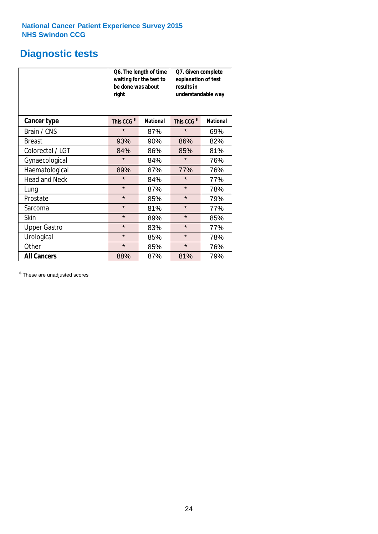# **Diagnostic tests**

|                      | be done was about<br>right | Q6. The length of time<br>waiting for the test to | Q7. Given complete<br>explanation of test<br>results in<br>understandable way |                 |  |  |
|----------------------|----------------------------|---------------------------------------------------|-------------------------------------------------------------------------------|-----------------|--|--|
| <b>Cancer type</b>   | This CCG <sup>\$</sup>     | <b>National</b>                                   | This CCG <sup>\$</sup>                                                        | <b>National</b> |  |  |
| Brain / CNS          | $\star$                    | 87%                                               | $\star$                                                                       | 69%             |  |  |
| <b>Breast</b>        | 93%                        | 90%                                               | 86%                                                                           | 82%             |  |  |
| Colorectal / LGT     | 84%                        | 86%                                               | 85%                                                                           | 81%             |  |  |
| Gynaecological       | $\star$                    | 84%                                               | $\star$                                                                       | 76%             |  |  |
| Haematological       | 89%                        | 87%                                               | 77%                                                                           | 76%             |  |  |
| <b>Head and Neck</b> | $\star$                    | 84%                                               | $\star$                                                                       | 77%             |  |  |
| Lung                 | $\star$                    | 87%                                               | $\star$                                                                       | 78%             |  |  |
| Prostate             | $\star$                    | 85%                                               | $\star$                                                                       | 79%             |  |  |
| Sarcoma              | $\star$                    | 81%                                               | $\star$                                                                       | 77%             |  |  |
| Skin                 | $\star$                    | 89%                                               | $\star$                                                                       | 85%             |  |  |
| <b>Upper Gastro</b>  | $\star$                    | 83%                                               | $\star$                                                                       | 77%             |  |  |
| Urological           | $\star$                    | 85%                                               | $\star$                                                                       | 78%             |  |  |
| Other                | $\star$                    | 85%                                               | $\star$                                                                       | 76%             |  |  |
| <b>All Cancers</b>   | 88%                        | 87%                                               | 81%                                                                           | 79%             |  |  |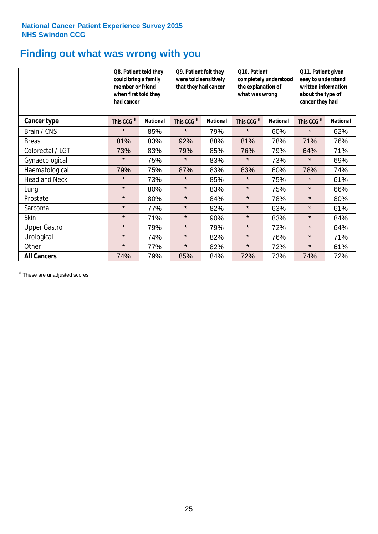# **Finding out what was wrong with you**

|                      | Q8. Patient told they<br>could bring a family<br>member or friend<br>when first told they<br>had cancer |                 | Q9. Patient felt they<br>were told sensitively<br>that they had cancer |                 | Q10. Patient<br>completely understood<br>the explanation of<br>what was wrong |                 | Q11. Patient given<br>easy to understand<br>written information<br>about the type of<br>cancer they had |                 |
|----------------------|---------------------------------------------------------------------------------------------------------|-----------------|------------------------------------------------------------------------|-----------------|-------------------------------------------------------------------------------|-----------------|---------------------------------------------------------------------------------------------------------|-----------------|
| Cancer type          | This CCG <sup>\$</sup>                                                                                  | <b>National</b> | This CCG <sup>\$</sup>                                                 | <b>National</b> | This CCG <sup>\$</sup>                                                        | <b>National</b> | This CCG <sup>\$</sup>                                                                                  | <b>National</b> |
| Brain / CNS          | $\star$                                                                                                 | 85%             | $\star$                                                                | 79%             | $\star$                                                                       | 60%             | $\star$                                                                                                 | 62%             |
| <b>Breast</b>        | 81%                                                                                                     | 83%             | 92%                                                                    | 88%             | 81%                                                                           | 78%             | 71%                                                                                                     | 76%             |
| Colorectal / LGT     | 73%                                                                                                     | 83%             | 79%                                                                    | 85%             | 76%                                                                           | 79%             | 64%                                                                                                     | 71%             |
| Gynaecological       | $\star$                                                                                                 | 75%             | $\star$                                                                | 83%             | $\star$                                                                       | 73%             | $\star$                                                                                                 | 69%             |
| Haematological       | 79%                                                                                                     | 75%             | 87%                                                                    | 83%             | 63%                                                                           | 60%             | 78%                                                                                                     | 74%             |
| <b>Head and Neck</b> | $\star$                                                                                                 | 73%             | $\star$                                                                | 85%             | $\star$                                                                       | 75%             | $\star$                                                                                                 | 61%             |
| Lung                 | $\star$                                                                                                 | 80%             | $\star$                                                                | 83%             | $\star$                                                                       | 75%             | $\star$                                                                                                 | 66%             |
| Prostate             | $\star$                                                                                                 | 80%             | $\star$                                                                | 84%             | $\star$                                                                       | 78%             | $\star$                                                                                                 | 80%             |
| Sarcoma              | $\star$                                                                                                 | 77%             | $\star$                                                                | 82%             | $\star$                                                                       | 63%             | $\star$                                                                                                 | 61%             |
| Skin                 | $\star$                                                                                                 | 71%             | $\star$                                                                | 90%             | $\star$                                                                       | 83%             | $\star$                                                                                                 | 84%             |
| <b>Upper Gastro</b>  | $\star$                                                                                                 | 79%             | $\star$                                                                | 79%             | $\star$                                                                       | 72%             | $\star$                                                                                                 | 64%             |
| Urological           | $\star$                                                                                                 | 74%             | $\star$                                                                | 82%             | $\star$                                                                       | 76%             | $\star$                                                                                                 | 71%             |
| Other                | $\star$                                                                                                 | 77%             | $\star$                                                                | 82%             | $\star$                                                                       | 72%             | $\star$                                                                                                 | 61%             |
| <b>All Cancers</b>   | 74%                                                                                                     | 79%             | 85%                                                                    | 84%             | 72%                                                                           | 73%             | 74%                                                                                                     | 72%             |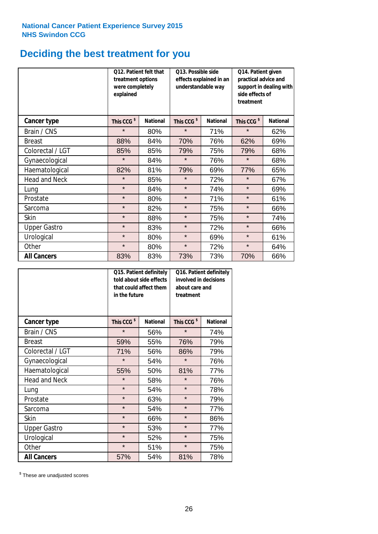# **Deciding the best treatment for you**

|                      | treatment options<br>were completely<br>explained | Q12. Patient felt that | Q13. Possible side<br>understandable way | effects explained in an | Q14. Patient given<br>practical advice and<br>support in dealing with<br>side effects of<br>treatment |                 |  |
|----------------------|---------------------------------------------------|------------------------|------------------------------------------|-------------------------|-------------------------------------------------------------------------------------------------------|-----------------|--|
| <b>Cancer type</b>   | This CCG <sup>\$</sup>                            | <b>National</b>        | This CCG <sup>\$</sup>                   | <b>National</b>         | This CCG <sup>\$</sup>                                                                                | <b>National</b> |  |
| Brain / CNS          | $\star$                                           | 80%                    | $\star$                                  | 71%                     | $\star$                                                                                               | 62%             |  |
| <b>Breast</b>        | 88%                                               | 84%                    | 70%                                      | 76%                     | 62%                                                                                                   | 69%             |  |
| Colorectal / LGT     | 85%                                               | 85%                    | 79%                                      | 75%                     | 79%                                                                                                   | 68%             |  |
| Gynaecological       | $\star$                                           | 84%                    | $\star$                                  | 76%                     | $\star$                                                                                               | 68%             |  |
| Haematological       | 82%                                               | 81%                    | 79%                                      | 69%                     | 77%                                                                                                   | 65%             |  |
| <b>Head and Neck</b> | $\star$                                           | 85%                    | $\star$                                  | 72%                     | $\star$                                                                                               | 67%             |  |
| Lung                 | $\star$                                           | 84%                    | $\star$                                  | 74%                     | $\star$                                                                                               | 69%             |  |
| Prostate             | $\star$                                           | 80%                    | $\star$                                  | 71%                     | $\star$                                                                                               | 61%             |  |
| Sarcoma              | $\star$                                           | 82%                    | $\star$                                  | 75%                     | $\star$                                                                                               | 66%             |  |
| Skin                 | $\star$                                           | 88%                    | $\star$                                  | 75%                     | $\star$                                                                                               | 74%             |  |
| <b>Upper Gastro</b>  | $\star$                                           | 83%                    | $\star$                                  | 72%                     | $\star$                                                                                               | 66%             |  |
| Urological           | $\star$                                           | 80%                    | $\star$                                  | 69%                     | $\star$                                                                                               | 61%             |  |
| Other                | $\star$                                           | 80%                    | $\star$                                  | 72%                     | $\star$                                                                                               | 64%             |  |
| <b>All Cancers</b>   | 83%                                               | 83%                    | 73%                                      | 73%                     | 70%                                                                                                   | 66%             |  |

|                      | in the future          | Q15. Patient definitely<br>told about side effects<br>that could affect them | Q16. Patient definitely<br>involved in decisions<br>about care and<br>treatment |                 |  |
|----------------------|------------------------|------------------------------------------------------------------------------|---------------------------------------------------------------------------------|-----------------|--|
| <b>Cancer type</b>   | This CCG <sup>\$</sup> | <b>National</b>                                                              | This CCG <sup>\$</sup>                                                          | <b>National</b> |  |
| Brain / CNS          | $\star$                | 56%                                                                          | $\star$                                                                         | 74%             |  |
| <b>Breast</b>        | 59%                    | 55%                                                                          | 76%                                                                             | 79%             |  |
| Colorectal / LGT     | 71%                    | 56%                                                                          | 86%                                                                             | 79%             |  |
| Gynaecological       | $\star$                | 54%                                                                          | $\star$                                                                         | 76%             |  |
| Haematological       | 55%                    | 50%                                                                          |                                                                                 | 77%             |  |
| <b>Head and Neck</b> | $\star$                | 58%                                                                          | $\star$                                                                         | 76%             |  |
| Lung                 | $\star$                | 54%                                                                          | $\star$                                                                         | 78%             |  |
| Prostate             | $\star$                | 63%                                                                          | $\star$                                                                         | 79%             |  |
| Sarcoma              | $\star$                | 54%                                                                          | $\star$                                                                         | 77%             |  |
| Skin                 | $\star$                | 66%                                                                          | $\star$                                                                         | 86%             |  |
| <b>Upper Gastro</b>  | $\star$                | 53%                                                                          | $\star$                                                                         | 77%             |  |
| Urological           | $\star$                | 52%                                                                          | $\star$                                                                         | 75%             |  |
| Other                | $\star$                | 51%                                                                          | $\star$                                                                         | 75%             |  |
| <b>All Cancers</b>   | 57%                    | 54%                                                                          | 81%                                                                             | 78%             |  |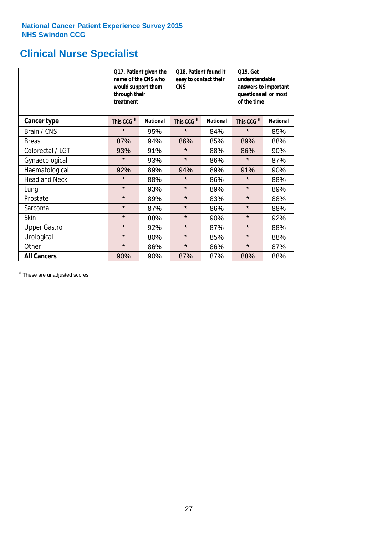# **Clinical Nurse Specialist**

|                      | would support them<br>through their<br>treatment | Q17. Patient given the<br>name of the CNS who | Q18. Patient found it<br>easy to contact their<br><b>CNS</b> |                 | <b>Q19. Get</b><br>understandable<br>answers to important<br>questions all or most<br>of the time |                 |  |
|----------------------|--------------------------------------------------|-----------------------------------------------|--------------------------------------------------------------|-----------------|---------------------------------------------------------------------------------------------------|-----------------|--|
| <b>Cancer type</b>   | This CCG <sup>\$</sup>                           | <b>National</b>                               | This CCG <sup>\$</sup>                                       | <b>National</b> | This CCG <sup>\$</sup>                                                                            | <b>National</b> |  |
| Brain / CNS          | $\star$                                          | 95%                                           | $\star$                                                      | 84%             | $\star$                                                                                           | 85%             |  |
| <b>Breast</b>        | 87%                                              | 94%                                           | 86%                                                          | 85%             | 89%                                                                                               | 88%             |  |
| Colorectal / LGT     | 93%                                              | 91%                                           | $\star$                                                      | 88%             | 86%                                                                                               | 90%             |  |
| Gynaecological       | $\star$                                          | 93%                                           | $\star$                                                      | 86%             | $\star$                                                                                           | 87%             |  |
| Haematological       | 92%                                              | 89%                                           | 94%                                                          | 89%             | 91%                                                                                               | 90%             |  |
| <b>Head and Neck</b> | $\star$                                          | 88%                                           | $\star$                                                      | 86%             | $\star$                                                                                           | 88%             |  |
| Lung                 | $\star$                                          | 93%                                           | $\star$                                                      | 89%             | $\star$                                                                                           | 89%             |  |
| Prostate             | $\star$                                          | 89%                                           | $\star$                                                      | 83%             | $\star$                                                                                           | 88%             |  |
| Sarcoma              | $\star$                                          | 87%                                           | $\star$                                                      | 86%             | $\star$                                                                                           | 88%             |  |
| Skin                 | $\star$                                          | 88%                                           | $\star$                                                      | 90%             | $\star$                                                                                           | 92%             |  |
| <b>Upper Gastro</b>  | $\star$                                          | 92%                                           | $\star$                                                      | 87%             | $\star$                                                                                           | 88%             |  |
| Urological           | $\star$                                          | 80%                                           | $\star$                                                      | 85%             | $\star$                                                                                           | 88%             |  |
| Other                | $\star$                                          | 86%                                           | $\star$                                                      | 86%             | $\star$                                                                                           | 87%             |  |
| <b>All Cancers</b>   | 90%                                              | 90%                                           | 87%                                                          | 87%             | 88%                                                                                               | 88%             |  |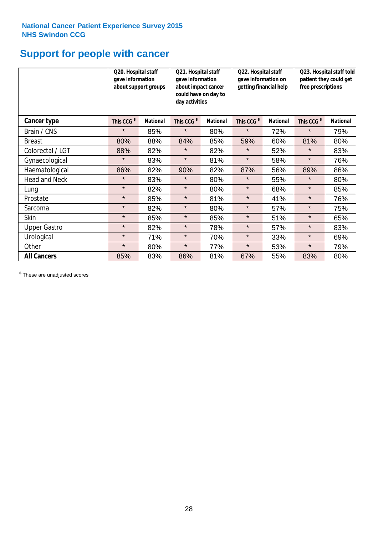# **Support for people with cancer**

|                      | Q20. Hospital staff<br>gave information | about support groups | Q21. Hospital staff<br>gave information<br>about impact cancer<br>could have on day to<br>day activities |                 | Q22. Hospital staff<br>gave information on<br>getting financial help |                 | Q23. Hospital staff told<br>patient they could get<br>free prescriptions |                 |
|----------------------|-----------------------------------------|----------------------|----------------------------------------------------------------------------------------------------------|-----------------|----------------------------------------------------------------------|-----------------|--------------------------------------------------------------------------|-----------------|
| Cancer type          | This CCG <sup>\$</sup>                  | <b>National</b>      | This CCG <sup>\$</sup>                                                                                   | <b>National</b> | This CCG <sup>\$</sup>                                               | <b>National</b> | This CCG <sup>\$</sup>                                                   | <b>National</b> |
| Brain / CNS          | $\star$                                 | 85%                  | $\star$                                                                                                  | 80%             | $\star$                                                              | 72%             | $\star$                                                                  | 79%             |
| <b>Breast</b>        | 80%                                     | 88%                  | 84%                                                                                                      | 85%             | 59%                                                                  | 60%             | 81%                                                                      | 80%             |
| Colorectal / LGT     | 88%                                     | 82%                  | $\star$                                                                                                  | 82%             | $\star$                                                              | 52%             | $\star$                                                                  | 83%             |
| Gynaecological       | $\star$                                 | 83%                  | $\star$                                                                                                  | 81%             | $\star$                                                              | 58%             | $\star$                                                                  | 76%             |
| Haematological       | 86%                                     | 82%                  | 90%                                                                                                      | 82%             | 87%                                                                  | 56%             | 89%                                                                      | 86%             |
| <b>Head and Neck</b> | $\star$                                 | 83%                  | $\star$                                                                                                  | 80%             | $\star$                                                              | 55%             | $\star$                                                                  | 80%             |
| Lung                 | $\star$                                 | 82%                  | $\star$                                                                                                  | 80%             | $\star$                                                              | 68%             | $\star$                                                                  | 85%             |
| Prostate             | $\star$                                 | 85%                  | $\star$                                                                                                  | 81%             | $\star$                                                              | 41%             | $\star$                                                                  | 76%             |
| Sarcoma              | $\star$                                 | 82%                  | $\star$                                                                                                  | 80%             | $\star$                                                              | 57%             | $\star$                                                                  | 75%             |
| Skin                 | $\star$                                 | 85%                  | $\star$                                                                                                  | 85%             | $\star$                                                              | 51%             | $\star$                                                                  | 65%             |
| <b>Upper Gastro</b>  | $\star$                                 | 82%                  | $\star$                                                                                                  | 78%             | $\star$                                                              | 57%             | $\star$                                                                  | 83%             |
| Urological           | $\star$                                 | 71%                  | $\star$                                                                                                  | 70%             | $\star$                                                              | 33%             | $\star$                                                                  | 69%             |
| Other                | $\star$                                 | 80%                  | $\star$                                                                                                  | 77%             | $\star$                                                              | 53%             | $\star$                                                                  | 79%             |
| <b>All Cancers</b>   | 85%                                     | 83%                  | 86%                                                                                                      | 81%             | 67%                                                                  | 55%             | 83%                                                                      | 80%             |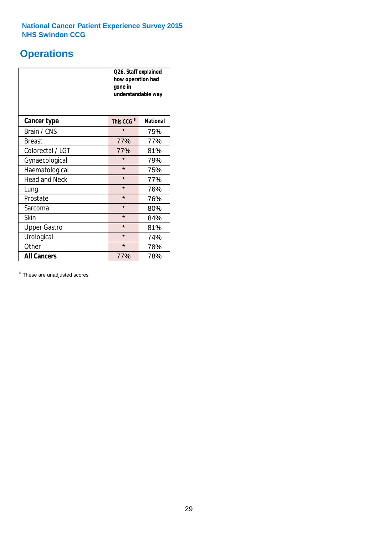# **Operations**

|                      | Q26. Staff explained<br>how operation had<br>gone in<br>understandable way |                 |  |  |
|----------------------|----------------------------------------------------------------------------|-----------------|--|--|
| <b>Cancer type</b>   | This CCG <sup>\$</sup>                                                     | <b>National</b> |  |  |
| Brain / CNS          | $\star$                                                                    | 75%             |  |  |
| <b>Breast</b>        | 77%                                                                        | 77%             |  |  |
| Colorectal / LGT     | 77%                                                                        | 81%             |  |  |
| Gynaecological       | $\star$                                                                    | 79%             |  |  |
| Haematological       | $\star$                                                                    | 75%             |  |  |
| <b>Head and Neck</b> | $\star$                                                                    | 77%             |  |  |
| Lung                 | $\star$                                                                    | 76%             |  |  |
| Prostate             | $\star$                                                                    | 76%             |  |  |
| Sarcoma              | $\star$                                                                    | 80%             |  |  |
| Skin                 | $\star$                                                                    | 84%             |  |  |
| <b>Upper Gastro</b>  | $\star$                                                                    | 81%             |  |  |
| Urological           | $\star$                                                                    | 74%             |  |  |
| Other                | $\star$<br>78%                                                             |                 |  |  |
| <b>All Cancers</b>   | 77%                                                                        | 78%             |  |  |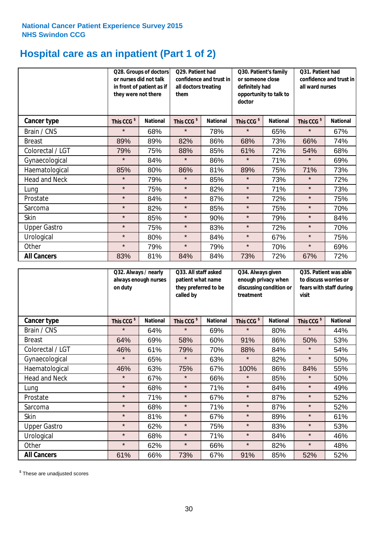# **Hospital care as an inpatient (Part 1 of 2)**

|                      | or nurses did not talk<br>they were not there | Q28. Groups of doctors<br>in front of patient as if | Q29. Patient had<br>confidence and trust in<br>all doctors treating<br>them |                 | Q30. Patient's family<br>or someone close<br>definitely had<br>opportunity to talk to<br>doctor |                 | Q31. Patient had<br>confidence and trust in<br>all ward nurses |                 |
|----------------------|-----------------------------------------------|-----------------------------------------------------|-----------------------------------------------------------------------------|-----------------|-------------------------------------------------------------------------------------------------|-----------------|----------------------------------------------------------------|-----------------|
| Cancer type          | This CCG <sup>\$</sup>                        | <b>National</b>                                     | This CCG <sup>\$</sup>                                                      | <b>National</b> | This CCG <sup>\$</sup>                                                                          | <b>National</b> | This CCG <sup>\$</sup>                                         | <b>National</b> |
| Brain / CNS          | $\star$                                       | 68%                                                 | $\star$                                                                     | 78%             | $\star$                                                                                         | 65%             | $\star$                                                        | 67%             |
| <b>Breast</b>        | 89%                                           | 89%                                                 | 82%                                                                         | 86%             | 68%                                                                                             | 73%             | 66%                                                            | 74%             |
| Colorectal / LGT     | 79%                                           | 75%                                                 | 88%                                                                         | 85%             | 61%                                                                                             | 72%             | 54%                                                            | 68%             |
| Gynaecological       | $\star$                                       | 84%                                                 | $\star$                                                                     | 86%             | $\star$                                                                                         | 71%             | $\star$                                                        | 69%             |
| Haematological       | 85%                                           | 80%                                                 | 86%                                                                         | 81%             | 89%                                                                                             | 75%             | 71%                                                            | 73%             |
| <b>Head and Neck</b> | $\star$                                       | 79%                                                 | $\star$                                                                     | 85%             | $\star$                                                                                         | 73%             | $\star$                                                        | 72%             |
| Lung                 | $\star$                                       | 75%                                                 | $\star$                                                                     | 82%             | $\star$                                                                                         | 71%             | $\star$                                                        | 73%             |
| Prostate             | $\star$                                       | 84%                                                 | $\star$                                                                     | 87%             | $\star$                                                                                         | 72%             | $\star$                                                        | 75%             |
| Sarcoma              | $\star$                                       | 82%                                                 | $\star$                                                                     | 85%             | $\star$                                                                                         | 75%             | $\star$                                                        | 70%             |
| Skin                 | $\star$                                       | 85%                                                 | $\star$                                                                     | 90%             | $\star$                                                                                         | 79%             | $\star$                                                        | 84%             |
| <b>Upper Gastro</b>  | $\star$                                       | 75%                                                 | $\star$                                                                     | 83%             | $\star$                                                                                         | 72%             | $\star$                                                        | 70%             |
| Urological           | $\star$                                       | 80%                                                 | $\star$                                                                     | 84%             | $\star$                                                                                         | 67%             | $\star$                                                        | 75%             |
| Other                | $\star$                                       | 79%                                                 | $\star$                                                                     | 79%             | $\star$                                                                                         | 70%             | $\star$                                                        | 69%             |
| <b>All Cancers</b>   | 83%                                           | 81%                                                 | 84%                                                                         | 84%             | 73%                                                                                             | 72%             | 67%                                                            | 72%             |

|                      | Q32. Always / nearly<br>always enough nurses<br>on duty |                 | Q33. All staff asked<br>patient what name<br>they preferred to be<br>called by |                 | Q34. Always given<br>enough privacy when<br>discussing condition or<br>treatment |                 | Q35. Patient was able<br>to discuss worries or<br>fears with staff during<br>visit |                 |
|----------------------|---------------------------------------------------------|-----------------|--------------------------------------------------------------------------------|-----------------|----------------------------------------------------------------------------------|-----------------|------------------------------------------------------------------------------------|-----------------|
| <b>Cancer type</b>   | This CCG <sup>\$</sup>                                  | <b>National</b> | This CCG <sup>\$</sup>                                                         | <b>National</b> | This CCG <sup>\$</sup>                                                           | <b>National</b> | This CCG <sup>\$</sup>                                                             | <b>National</b> |
| Brain / CNS          | $\star$                                                 | 64%             | $\star$                                                                        | 69%             | $\star$                                                                          | 80%             | $\star$                                                                            | 44%             |
| <b>Breast</b>        | 64%                                                     | 69%             | 58%                                                                            | 60%             | 91%                                                                              | 86%             | 50%                                                                                | 53%             |
| Colorectal / LGT     | 46%                                                     | 61%             | 79%                                                                            | 70%             | 88%                                                                              | 84%             | $\star$                                                                            | 54%             |
| Gynaecological       | $\star$                                                 | 65%             | $\star$                                                                        | 63%             | $\star$                                                                          | 82%             | $\star$                                                                            | 50%             |
| Haematological       | 46%                                                     | 63%             | 75%                                                                            | 67%             | 100%                                                                             | 86%             | 84%                                                                                | 55%             |
| <b>Head and Neck</b> | $\star$                                                 | 67%             | $\star$                                                                        | 66%             | $\star$                                                                          | 85%             | $\star$                                                                            | 50%             |
| Lung                 | $\star$                                                 | 68%             | $\star$                                                                        | 71%             | $\star$                                                                          | 84%             | $\star$                                                                            | 49%             |
| Prostate             | $\star$                                                 | 71%             | $\star$                                                                        | 67%             | $\star$                                                                          | 87%             | $\star$                                                                            | 52%             |
| Sarcoma              | $\star$                                                 | 68%             | $\star$                                                                        | 71%             | $\star$                                                                          | 87%             | $\star$                                                                            | 52%             |
| Skin                 | $\star$                                                 | 81%             | $\star$                                                                        | 67%             | $\star$                                                                          | 89%             | $\star$                                                                            | 61%             |
| <b>Upper Gastro</b>  | $\star$                                                 | 62%             | $\star$                                                                        | 75%             | $\star$                                                                          | 83%             | $\star$                                                                            | 53%             |
| Urological           | $\star$                                                 | 68%             | $\star$                                                                        | 71%             | $\star$                                                                          | 84%             | $\star$                                                                            | 46%             |
| Other                | $\star$                                                 | 62%             | $\star$                                                                        | 66%             | $\star$                                                                          | 82%             | $\star$                                                                            | 48%             |
| <b>All Cancers</b>   | 61%                                                     | 66%             | 73%                                                                            | 67%             | 91%                                                                              | 85%             | 52%                                                                                | 52%             |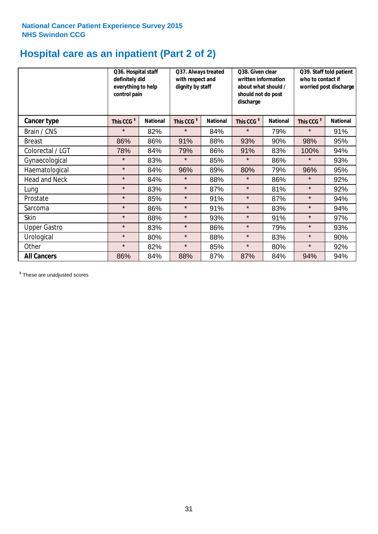# **Hospital care as an inpatient (Part 2 of 2)**

|                      | Q36. Hospital staff<br>definitely did<br>everything to help<br>control pain |                 | Q37. Always treated<br>with respect and<br>dignity by staff |                 | Q38. Given clear<br>written information<br>about what should /<br>should not do post<br>discharge |                 | Q39. Staff told patient<br>who to contact if<br>worried post discharge |                 |
|----------------------|-----------------------------------------------------------------------------|-----------------|-------------------------------------------------------------|-----------------|---------------------------------------------------------------------------------------------------|-----------------|------------------------------------------------------------------------|-----------------|
| Cancer type          | This CCG <sup>\$</sup>                                                      | <b>National</b> | This CCG <sup>\$</sup>                                      | <b>National</b> | This CCG <sup>\$</sup>                                                                            | <b>National</b> | This CCG <sup>\$</sup>                                                 | <b>National</b> |
| Brain / CNS          | $\star$                                                                     | 82%             | $\star$                                                     | 84%             | $\star$                                                                                           | 79%             | $\star$                                                                | 91%             |
| <b>Breast</b>        | 86%                                                                         | 86%             | 91%                                                         | 88%             | 93%                                                                                               | 90%             | 98%                                                                    | 95%             |
| Colorectal / LGT     | 78%                                                                         | 84%             | 79%                                                         | 86%             | 91%                                                                                               | 83%             | 100%                                                                   | 94%             |
| Gynaecological       | $\star$                                                                     | 83%             | $\star$                                                     | 85%             | $\star$                                                                                           | 86%             | $\star$                                                                | 93%             |
| Haematological       | $\star$                                                                     | 84%             | 96%                                                         | 89%             | 80%                                                                                               | 79%             | 96%                                                                    | 95%             |
| <b>Head and Neck</b> | $\star$                                                                     | 84%             | $\star$                                                     | 88%             | $\star$                                                                                           | 86%             | $\star$                                                                | 92%             |
| Lung                 | $\star$                                                                     | 83%             | $\star$                                                     | 87%             | $\star$                                                                                           | 81%             | $\star$                                                                | 92%             |
| Prostate             | $\star$                                                                     | 85%             | $\star$                                                     | 91%             | $\star$                                                                                           | 87%             | $\star$                                                                | 94%             |
| Sarcoma              | $\star$                                                                     | 86%             | $\star$                                                     | 91%             | $\star$                                                                                           | 83%             | $\star$                                                                | 94%             |
| Skin                 | $\star$                                                                     | 88%             | $\star$                                                     | 93%             | $\star$                                                                                           | 91%             | $\star$                                                                | 97%             |
| <b>Upper Gastro</b>  | $\star$                                                                     | 83%             | $\star$                                                     | 86%             | $\star$                                                                                           | 79%             | $\star$                                                                | 93%             |
| Urological           | $\star$                                                                     | 80%             | $\star$                                                     | 88%             | $\star$                                                                                           | 83%             | $\star$                                                                | 90%             |
| Other                | $\star$                                                                     | 82%             | $\star$                                                     | 85%             | $\star$                                                                                           | 80%             | $\star$                                                                | 92%             |
| <b>All Cancers</b>   | 86%                                                                         | 84%             | 88%                                                         | 87%             | 87%                                                                                               | 84%             | 94%                                                                    | 94%             |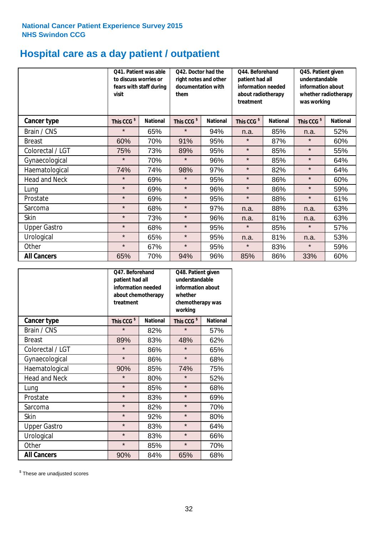# **Hospital care as a day patient / outpatient**

|                      | to discuss worries or<br>visit | Q41. Patient was able<br>fears with staff during | Q42. Doctor had the<br>right notes and other<br>documentation with<br>them |                 | Q44. Beforehand<br>patient had all<br>information needed<br>about radiotherapy<br>treatment |                 | Q45. Patient given<br>understandable<br>information about<br>whether radiotherapy<br>was working |                 |
|----------------------|--------------------------------|--------------------------------------------------|----------------------------------------------------------------------------|-----------------|---------------------------------------------------------------------------------------------|-----------------|--------------------------------------------------------------------------------------------------|-----------------|
| <b>Cancer type</b>   | This CCG <sup>\$</sup>         | <b>National</b>                                  | This CCG <sup>\$</sup>                                                     | <b>National</b> | This CCG <sup>\$</sup>                                                                      | <b>National</b> | This CCG <sup>\$</sup>                                                                           | <b>National</b> |
| Brain / CNS          | $\star$                        | 65%                                              | $\star$                                                                    | 94%             | n.a.                                                                                        | 85%             | n.a.                                                                                             | 52%             |
| <b>Breast</b>        | 60%                            | 70%                                              | 91%                                                                        | 95%             | $\star$                                                                                     | 87%             | $\star$                                                                                          | 60%             |
| Colorectal / LGT     | 75%                            | 73%                                              | 89%                                                                        | 95%             | $\star$                                                                                     | 85%             | $\star$                                                                                          | 55%             |
| Gynaecological       | $\star$                        | 70%                                              | $\star$                                                                    | 96%             | $\star$                                                                                     | 85%             | $\star$                                                                                          | 64%             |
| Haematological       | 74%                            | 74%                                              | 98%                                                                        | 97%             | $\star$                                                                                     | 82%             | $\star$                                                                                          | 64%             |
| <b>Head and Neck</b> | $\star$                        | 69%                                              | $\star$                                                                    | 95%             | $\star$                                                                                     | 86%             | $\star$                                                                                          | 60%             |
| Lung                 | $\star$                        | 69%                                              | $\star$                                                                    | 96%             | $\star$                                                                                     | 86%             | $\star$                                                                                          | 59%             |
| Prostate             | $\star$                        | 69%                                              | $\star$                                                                    | 95%             | $\star$                                                                                     | 88%             | $\star$                                                                                          | 61%             |
| Sarcoma              | $\star$                        | 68%                                              | $\star$                                                                    | 97%             | n.a.                                                                                        | 88%             | n.a.                                                                                             | 63%             |
| Skin                 | $\star$                        | 73%                                              | $\star$                                                                    | 96%             | n.a.                                                                                        | 81%             | n.a.                                                                                             | 63%             |
| <b>Upper Gastro</b>  | $\star$                        | 68%                                              | $\star$                                                                    | 95%             | $\star$                                                                                     | 85%             | $\star$                                                                                          | 57%             |
| Urological           | $\star$                        | 65%                                              | $\star$                                                                    | 95%             | n.a.                                                                                        | 81%             | n.a.                                                                                             | 53%             |
| Other                | $\star$                        | 67%                                              | $\star$                                                                    | 95%             | $\star$                                                                                     | 83%             | $\star$                                                                                          | 59%             |
| <b>All Cancers</b>   | 65%                            | 70%                                              | 94%                                                                        | 96%             | 85%                                                                                         | 86%             | 33%                                                                                              | 60%             |

|                      | O47. Beforehand<br>patient had all<br>information needed<br>treatment | about chemotherapy | Q48. Patient given<br>understandable<br>information about<br>whether<br>chemotherapy was<br>working |                 |  |
|----------------------|-----------------------------------------------------------------------|--------------------|-----------------------------------------------------------------------------------------------------|-----------------|--|
| <b>Cancer type</b>   | This CCG <sup>\$</sup>                                                | <b>National</b>    | This CCG <sup>\$</sup>                                                                              | <b>National</b> |  |
| Brain / CNS          | $\star$                                                               | 82%                | $\star$                                                                                             | 57%             |  |
| <b>Breast</b>        | 89%                                                                   | 83%                | 48%                                                                                                 | 62%             |  |
| Colorectal / LGT     | $\star$                                                               | 86%                | $\star$                                                                                             | 65%             |  |
| Gynaecological       | $\star$                                                               | 86%                | $\star$                                                                                             | 68%             |  |
| Haematological       | 90%                                                                   | 85%                |                                                                                                     | 75%             |  |
| <b>Head and Neck</b> | $\star$                                                               | 80%                | $\star$                                                                                             | 52%             |  |
| Lung                 | $\star$                                                               | 85%                | $\star$                                                                                             | 68%             |  |
| Prostate             | $\star$                                                               | 83%                | $\star$                                                                                             | 69%             |  |
| Sarcoma              | $\star$                                                               | 82%                | $\star$                                                                                             | 70%             |  |
| Skin                 | $\star$                                                               | 92%                | $\star$                                                                                             | 80%             |  |
| <b>Upper Gastro</b>  | $\star$                                                               | 83%                | $\star$                                                                                             | 64%             |  |
| Urological           | $\star$                                                               | 83%                |                                                                                                     | 66%             |  |
| Other                | $\star$                                                               | 85%                | $\star$                                                                                             | 70%             |  |
| <b>All Cancers</b>   | 90%                                                                   | 84%                | 65%                                                                                                 | 68%             |  |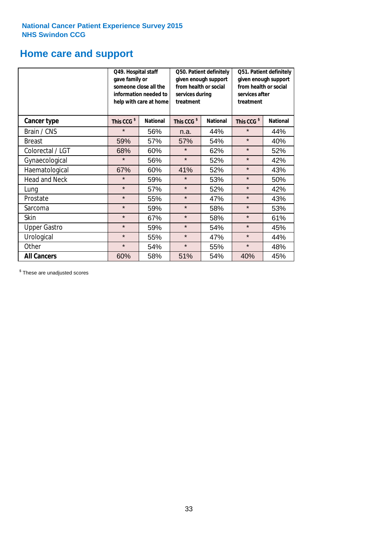# **Home care and support**

|                      | Q49. Hospital staff<br>gave family or | someone close all the<br>information needed to<br>help with care at home | Q50. Patient definitely<br>given enough support<br>from health or social<br>services during<br>treatment |                 | Q51. Patient definitely<br>given enough support<br>from health or social<br>services after<br>treatment |                 |
|----------------------|---------------------------------------|--------------------------------------------------------------------------|----------------------------------------------------------------------------------------------------------|-----------------|---------------------------------------------------------------------------------------------------------|-----------------|
| <b>Cancer type</b>   | This CCG <sup>\$</sup>                | <b>National</b><br>This CCG <sup>\$</sup>                                |                                                                                                          | <b>National</b> | This CCG <sup>\$</sup>                                                                                  | <b>National</b> |
| Brain / CNS          | $\star$                               | 56%                                                                      | n.a.                                                                                                     | 44%             | $\star$                                                                                                 | 44%             |
| <b>Breast</b>        | 59%                                   | 57%                                                                      | 57%                                                                                                      | 54%             | $\star$                                                                                                 | 40%             |
| Colorectal / LGT     | 68%                                   | 60%                                                                      | $\star$                                                                                                  | 62%             | $\star$                                                                                                 | 52%             |
| Gynaecological       | $\star$                               | 56%                                                                      | $\star$                                                                                                  | 52%             | $\star$                                                                                                 | 42%             |
| Haematological       | 67%                                   | 60%                                                                      | 41%                                                                                                      | 52%             | $\star$                                                                                                 | 43%             |
| <b>Head and Neck</b> | $\star$                               | 59%                                                                      | $\star$                                                                                                  | 53%             | $\star$                                                                                                 | 50%             |
| Lung                 | $\star$                               | 57%                                                                      | $\star$                                                                                                  | 52%             | $\star$                                                                                                 | 42%             |
| Prostate             | $\star$                               | 55%                                                                      | $\star$                                                                                                  | 47%             | $\star$                                                                                                 | 43%             |
| Sarcoma              | $\star$                               | 59%                                                                      | $\star$                                                                                                  | 58%             | $\star$                                                                                                 | 53%             |
| Skin                 | $\star$                               | 67%                                                                      | $\star$                                                                                                  | 58%             | $\star$                                                                                                 | 61%             |
| <b>Upper Gastro</b>  | $\star$                               | 59%                                                                      | $\star$                                                                                                  | 54%             | $\star$                                                                                                 | 45%             |
| Urological           | $\star$                               | 55%                                                                      | $\star$                                                                                                  | 47%             | $\star$                                                                                                 | 44%             |
| Other                | $\star$                               | 54%                                                                      | $\star$                                                                                                  | 55%             | $\star$                                                                                                 | 48%             |
| <b>All Cancers</b>   | 60%                                   | 58%                                                                      | 51%                                                                                                      | 54%             | 40%                                                                                                     | 45%             |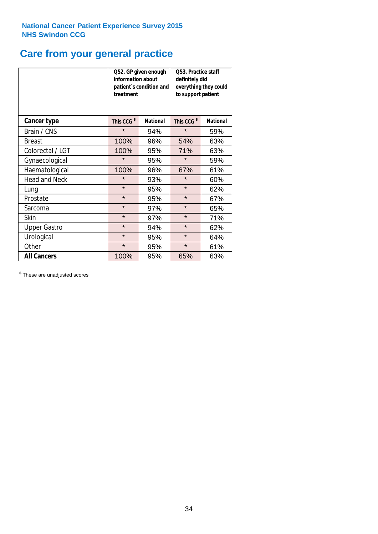# **Care from your general practice**

|                      | information about<br>treatment | Q52. GP given enough<br>patient's condition and | O53. Practice staff<br>definitely did<br>everything they could<br>to support patient |                 |  |
|----------------------|--------------------------------|-------------------------------------------------|--------------------------------------------------------------------------------------|-----------------|--|
| <b>Cancer type</b>   | This CCG <sup>\$</sup>         | <b>National</b>                                 | This CCG <sup>\$</sup>                                                               | <b>National</b> |  |
| Brain / CNS          | $\star$                        | 94%                                             | $\star$                                                                              | 59%             |  |
| <b>Breast</b>        | 100%                           | 96%                                             | 54%                                                                                  | 63%             |  |
| Colorectal / LGT     | 100%                           | 95%                                             | 71%                                                                                  | 63%             |  |
| Gynaecological       | $\star$                        | 95%                                             | $\star$                                                                              | 59%             |  |
| Haematological       | 100%                           | 96%                                             | 67%                                                                                  | 61%             |  |
| <b>Head and Neck</b> | $\star$                        | 93%                                             | $\star$                                                                              | 60%             |  |
| Lung                 | $\star$                        | 95%                                             | $\star$                                                                              | 62%             |  |
| Prostate             | $\star$                        | 95%                                             | $\star$                                                                              | 67%             |  |
| Sarcoma              | $\star$                        | 97%                                             | $\star$                                                                              | 65%             |  |
| Skin                 | $\star$                        | 97%                                             | $\star$                                                                              | 71%             |  |
| <b>Upper Gastro</b>  | $\star$                        | 94%                                             | $\star$                                                                              | 62%             |  |
| Urological           | $\star$                        | 95%                                             | $\star$                                                                              | 64%             |  |
| Other                | $\star$                        | 95%                                             | $\star$                                                                              | 61%             |  |
| <b>All Cancers</b>   | 100%                           | 95%                                             | 65%                                                                                  | 63%             |  |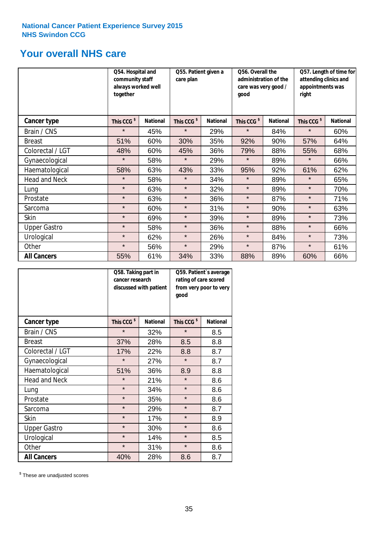# **Your overall NHS care**

|                      | Q54. Hospital and<br>community staff<br>always worked well<br>together |                 | Q55. Patient given a<br>care plan |                 | Q56. Overall the<br>administration of the<br>care was very good /<br>qood |                 | Q57. Length of time for<br>attending clinics and<br>appointments was<br>right |                 |
|----------------------|------------------------------------------------------------------------|-----------------|-----------------------------------|-----------------|---------------------------------------------------------------------------|-----------------|-------------------------------------------------------------------------------|-----------------|
| <b>Cancer type</b>   | This CCG <sup>\$</sup>                                                 | <b>National</b> | This CCG <sup>\$</sup>            | <b>National</b> | This CCG <sup>\$</sup>                                                    | <b>National</b> | This CCG <sup>\$</sup>                                                        | <b>National</b> |
| Brain / CNS          | $\star$                                                                | 45%             | $\star$                           | 29%             | $\star$                                                                   | 84%             | $\star$                                                                       | 60%             |
| <b>Breast</b>        | 51%                                                                    | 60%             | 30%                               | 35%             | 92%                                                                       | 90%             | 57%                                                                           | 64%             |
| Colorectal / LGT     | 48%                                                                    | 60%             | 45%                               | 36%             | 79%                                                                       | 88%             | 55%                                                                           | 68%             |
| Gynaecological       | $\star$                                                                | 58%             | $\star$                           | 29%             | $\star$                                                                   | 89%             | $\star$                                                                       | 66%             |
| Haematological       | 58%                                                                    | 63%             | 43%                               | 33%             | 95%                                                                       | 92%             | 61%                                                                           | 62%             |
| <b>Head and Neck</b> | $\star$                                                                | 58%             | $\star$                           | 34%             | $\star$                                                                   | 89%             | $\star$                                                                       | 65%             |
| Lung                 | $\star$                                                                | 63%             | $\star$                           | 32%             | $\star$                                                                   | 89%             | $\star$                                                                       | 70%             |
| Prostate             | $\star$                                                                | 63%             | $\star$                           | 36%             | $\star$                                                                   | 87%             | $\star$                                                                       | 71%             |
| Sarcoma              | $\star$                                                                | 60%             | $\star$                           | 31%             | $\star$                                                                   | 90%             | $\star$                                                                       | 63%             |
| Skin                 | $\star$                                                                | 69%             | $\star$                           | 39%             | $\star$                                                                   | 89%             | $\star$                                                                       | 73%             |
| <b>Upper Gastro</b>  | $\star$                                                                | 58%             | $\star$                           | 36%             | $\star$                                                                   | 88%             | $\star$                                                                       | 66%             |
| Urological           | $\star$                                                                | 62%             | $\star$                           | 26%             | $\star$                                                                   | 84%             | $\star$                                                                       | 73%             |
| Other                | $\star$                                                                | 56%             | $\star$                           | 29%             | $\star$                                                                   | 87%             | $\star$                                                                       | 61%             |
| <b>All Cancers</b>   | 55%                                                                    | 61%             | 34%                               | 33%             | 88%                                                                       | 89%             | 60%                                                                           | 66%             |

|                      | Q58. Taking part in<br>cancer research | discussed with patient | Q59. Patient's average<br>rating of care scored<br>from very poor to very<br>good |                 |  |
|----------------------|----------------------------------------|------------------------|-----------------------------------------------------------------------------------|-----------------|--|
| <b>Cancer type</b>   | This CCG <sup>\$</sup>                 | <b>National</b>        | This CCG <sup>\$</sup>                                                            | <b>National</b> |  |
| Brain / CNS          | $\star$                                | 32%                    | $\star$                                                                           | 8.5             |  |
| <b>Breast</b>        | 37%                                    | 28%                    | 8.5                                                                               | 8.8             |  |
| Colorectal / LGT     | 17%                                    | 22%                    | 8.8                                                                               | 8.7             |  |
| Gynaecological       | $\star$                                | 27%                    | $\star$                                                                           | 8.7             |  |
| Haematological       | 51%                                    | 36%                    | 8.9                                                                               | 8.8             |  |
| <b>Head and Neck</b> | $\star$                                | 21%                    | $\star$                                                                           | 8.6             |  |
| Lung                 | $\star$                                | 34%                    | $\star$                                                                           | 8.6             |  |
| Prostate             | $\star$                                | 35%                    | $\star$                                                                           | 8.6             |  |
| Sarcoma              | $\star$                                | 29%                    | $\star$                                                                           | 8.7             |  |
| Skin                 | $\star$                                | 17%                    | $\star$                                                                           | 8.9             |  |
| <b>Upper Gastro</b>  | $\star$                                | 30%                    | $\star$                                                                           | 8.6             |  |
| Urological           | $\star$                                | 14%                    | $\star$                                                                           | 8.5             |  |
| Other                | $\star$                                | 31%                    | $\star$                                                                           | 8.6             |  |
| <b>All Cancers</b>   | 40%                                    | 28%                    | 8.6                                                                               | 8.7             |  |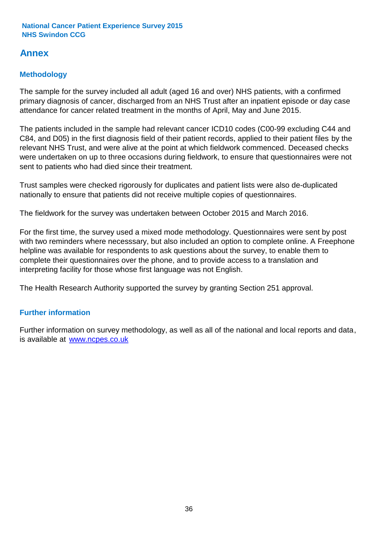# **Annex**

# **Methodology**

The sample for the survey included all adult (aged 16 and over) NHS patients, with a confirmed primary diagnosis of cancer, discharged from an NHS Trust after an inpatient episode or day case attendance for cancer related treatment in the months of April, May and June 2015.

The patients included in the sample had relevant cancer ICD10 codes (C00-99 excluding C44 and C84, and D05) in the first diagnosis field of their patient records, applied to their patient files by the relevant NHS Trust, and were alive at the point at which fieldwork commenced. Deceased checks were undertaken on up to three occasions during fieldwork, to ensure that questionnaires were not sent to patients who had died since their treatment.

Trust samples were checked rigorously for duplicates and patient lists were also de-duplicated nationally to ensure that patients did not receive multiple copies of questionnaires.

The fieldwork for the survey was undertaken between October 2015 and March 2016.

For the first time, the survey used a mixed mode methodology. Questionnaires were sent by post with two reminders where necesssary, but also included an option to complete online. A Freephone helpline was available for respondents to ask questions about the survey, to enable them to complete their questionnaires over the phone, and to provide access to a translation and interpreting facility for those whose first language was not English.

The Health Research Authority supported the survey by granting Section 251 approval.

# **Further information**

Further information on survey methodology, as well as all of the national and local reports and data, is available at www.ncpes.co.uk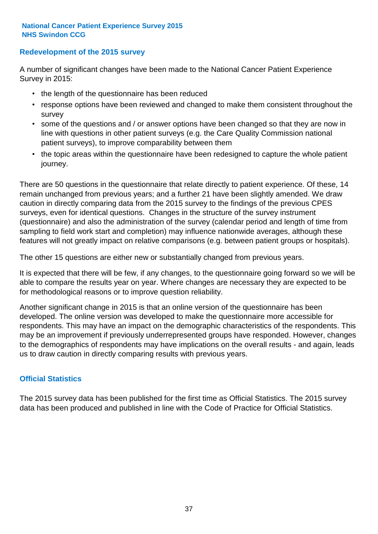### **Redevelopment of the 2015 survey**

A number of significant changes have been made to the National Cancer Patient Experience Survey in 2015:

- the length of the questionnaire has been reduced
- response options have been reviewed and changed to make them consistent throughout the survey
- some of the questions and / or answer options have been changed so that they are now in line with questions in other patient surveys (e.g. the Care Quality Commission national patient surveys), to improve comparability between them
- the topic areas within the questionnaire have been redesigned to capture the whole patient journey.

There are 50 questions in the questionnaire that relate directly to patient experience. Of these, 14 remain unchanged from previous years; and a further 21 have been slightly amended. We draw caution in directly comparing data from the 2015 survey to the findings of the previous CPES surveys, even for identical questions. Changes in the structure of the survey instrument (questionnaire) and also the administration of the survey (calendar period and length of time from sampling to field work start and completion) may influence nationwide averages, although these features will not greatly impact on relative comparisons (e.g. between patient groups or hospitals).

The other 15 questions are either new or substantially changed from previous years.

It is expected that there will be few, if any changes, to the questionnaire going forward so we will be able to compare the results year on year. Where changes are necessary they are expected to be for methodological reasons or to improve question reliability.

Another significant change in 2015 is that an online version of the questionnaire has been developed. The online version was developed to make the questionnaire more accessible for respondents. This may have an impact on the demographic characteristics of the respondents. This may be an improvement if previously underrepresented groups have responded. However, changes to the demographics of respondents may have implications on the overall results - and again, leads us to draw caution in directly comparing results with previous years.

### **Official Statistics**

The 2015 survey data has been published for the first time as Official Statistics. The 2015 survey data has been produced and published in line with the Code of Practice for Official Statistics.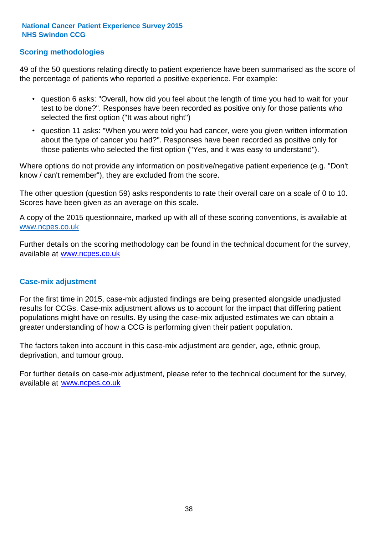### **Scoring methodologies**

49 of the 50 questions relating directly to patient experience have been summarised as the score of the percentage of patients who reported a positive experience. For example:

- question 6 asks: "Overall, how did you feel about the length of time you had to wait for your test to be done?". Responses have been recorded as positive only for those patients who selected the first option ("It was about right")
- question 11 asks: "When you were told you had cancer, were you given written information about the type of cancer you had?". Responses have been recorded as positive only for those patients who selected the first option ("Yes, and it was easy to understand").

Where options do not provide any information on positive/negative patient experience (e.g. "Don't know / can't remember"), they are excluded from the score.

The other question (question 59) asks respondents to rate their overall care on a scale of 0 to 10. Scores have been given as an average on this scale.

A copy of the 2015 questionnaire, marked up with all of these scoring conventions, is available at www.ncpes.co.uk

Further details on the scoring methodology can be found in the technical document for the survey, available at <u>www.ncpes.co.uk</u>

#### **Case-mix adjustment**

For the first time in 2015, case-mix adjusted findings are being presented alongside unadjusted results for CCGs. Case-mix adjustment allows us to account for the impact that differing patient populations might have on results. By using the case-mix adjusted estimates we can obtain a greater understanding of how a CCG is performing given their patient population.

The factors taken into account in this case-mix adjustment are gender, age, ethnic group, deprivation, and tumour group.

For further details on case-mix adjustment, please refer to the technical document for the survey, available at www.ncpes.co.uk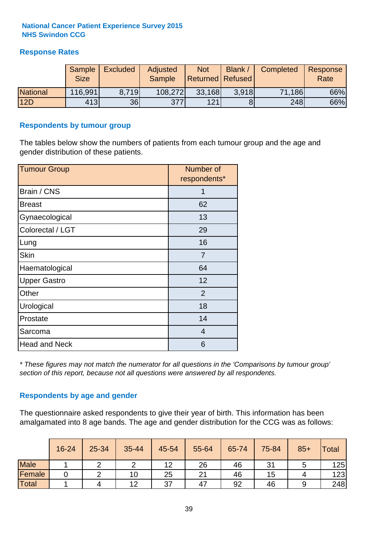### **Response Rates**

|                 | Sample      | <b>Excluded</b> | Adjusted      | <b>Not</b>              | Blank / | Completed | Response |
|-----------------|-------------|-----------------|---------------|-------------------------|---------|-----------|----------|
|                 | <b>Size</b> |                 | <b>Sample</b> | <b>Returned Refused</b> |         |           | Rate     |
| <b>National</b> | 116,991     | 8.719           | 108,272       | 33,168                  | 3.918   | 71,186    | 66%      |
| 12D             | 413         | 36              | 377           | 121                     |         | 248       | 66%      |

#### **Respondents by tumour group**

The tables below show the numbers of patients from each tumour group and the age and gender distribution of these patients.

| <b>Tumour Group</b>  | Number of<br>respondents* |
|----------------------|---------------------------|
| Brain / CNS          | 1                         |
| <b>Breast</b>        | 62                        |
| Gynaecological       | 13                        |
| Colorectal / LGT     | 29                        |
| Lung                 | 16                        |
| <b>Skin</b>          | 7                         |
| Haematological       | 64                        |
| <b>Upper Gastro</b>  | 12                        |
| Other                | 2                         |
| Urological           | 18                        |
| Prostate             | 14                        |
| Sarcoma              | 4                         |
| <b>Head and Neck</b> | 6                         |

*\* These figures may not match the numerator for all questions in the 'Comparisons by tumour group' section of this report, because not all questions were answered by all respondents.*

### **Respondents by age and gender**

The questionnaire asked respondents to give their year of birth. This information has been amalgamated into 8 age bands. The age and gender distribution for the CCG was as follows:

|             | 16-24 | 25-34 | 35-44 | 45-54 | 55-64 | 65-74 | 75-84 | $85+$ | Total |
|-------------|-------|-------|-------|-------|-------|-------|-------|-------|-------|
| <b>Male</b> |       |       |       | 12    | 26    | 46    | 31    |       | 125   |
| Female      |       |       | 10    | 25    | 21    | 46    | 15    |       | 123   |
| Total       |       | 4     | 12    | 37    | 47    | 92    | 46    |       | 248   |